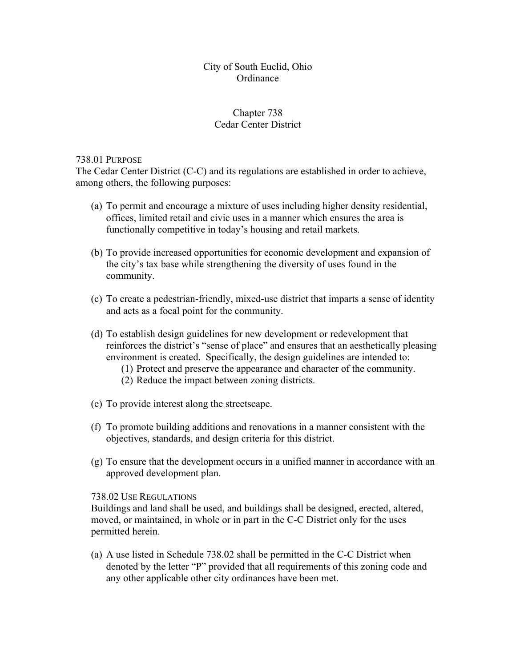### City of South Euclid, Ohio **Ordinance**

# Chapter 738 Cedar Center District

#### 738.01 PURPOSE

The Cedar Center District (C-C) and its regulations are established in order to achieve, among others, the following purposes:

- (a) To permit and encourage a mixture of uses including higher density residential, offices, limited retail and civic uses in a manner which ensures the area is functionally competitive in today's housing and retail markets.
- (b) To provide increased opportunities for economic development and expansion of the city's tax base while strengthening the diversity of uses found in the community.
- (c) To create a pedestrian-friendly, mixed-use district that imparts a sense of identity and acts as a focal point for the community.
- (d) To establish design guidelines for new development or redevelopment that reinforces the district's "sense of place" and ensures that an aesthetically pleasing environment is created. Specifically, the design guidelines are intended to:
	- (1) Protect and preserve the appearance and character of the community.
	- (2) Reduce the impact between zoning districts.
- (e) To provide interest along the streetscape.
- (f) To promote building additions and renovations in a manner consistent with the objectives, standards, and design criteria for this district.
- (g) To ensure that the development occurs in a unified manner in accordance with an approved development plan.

#### 738.02 USE REGULATIONS

Buildings and land shall be used, and buildings shall be designed, erected, altered, moved, or maintained, in whole or in part in the C-C District only for the uses permitted herein.

(a) A use listed in Schedule 738.02 shall be permitted in the C-C District when denoted by the letter "P" provided that all requirements of this zoning code and any other applicable other city ordinances have been met.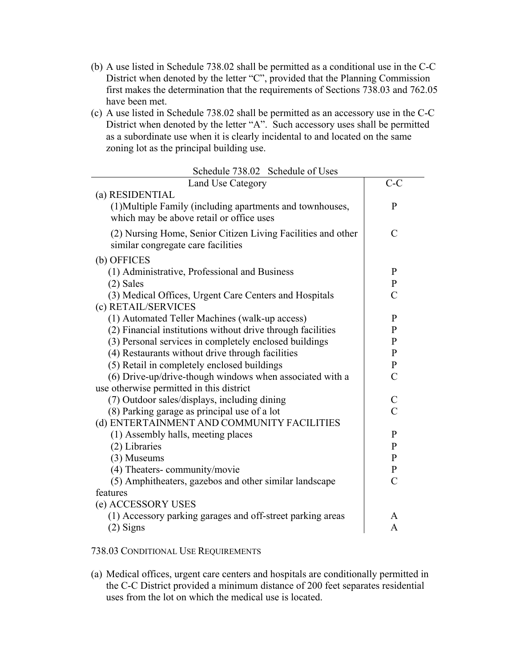- (b) A use listed in Schedule 738.02 shall be permitted as a conditional use in the C-C District when denoted by the letter "C", provided that the Planning Commission first makes the determination that the requirements of Sections 738.03 and 762.05 have been met.
- (c) A use listed in Schedule 738.02 shall be permitted as an accessory use in the C-C District when denoted by the letter "A". Such accessory uses shall be permitted as a subordinate use when it is clearly incidental to and located on the same zoning lot as the principal building use.

| Land Use Category                                                                                     | $C-C$          |
|-------------------------------------------------------------------------------------------------------|----------------|
| (a) RESIDENTIAL                                                                                       |                |
| (1) Multiple Family (including apartments and townhouses,<br>which may be above retail or office uses | P              |
| (2) Nursing Home, Senior Citizen Living Facilities and other<br>similar congregate care facilities    | $\mathcal{C}$  |
| (b) OFFICES                                                                                           |                |
| (1) Administrative, Professional and Business                                                         | $\mathbf{P}$   |
| $(2)$ Sales                                                                                           | $\mathbf{P}$   |
| (3) Medical Offices, Urgent Care Centers and Hospitals                                                | $\overline{C}$ |
| (c) RETAIL/SERVICES                                                                                   |                |
| (1) Automated Teller Machines (walk-up access)                                                        | $\mathbf{P}$   |
| (2) Financial institutions without drive through facilities                                           | $\mathbf{P}$   |
| (3) Personal services in completely enclosed buildings                                                | $\mathbf{P}$   |
| (4) Restaurants without drive through facilities                                                      | $\mathbf{P}$   |
| (5) Retail in completely enclosed buildings                                                           | $\mathbf{P}$   |
| (6) Drive-up/drive-though windows when associated with a                                              | $\overline{C}$ |
| use otherwise permitted in this district                                                              |                |
| (7) Outdoor sales/displays, including dining                                                          | C              |
| (8) Parking garage as principal use of a lot                                                          | $\overline{C}$ |
| (d) ENTERTAINMENT AND COMMUNITY FACILITIES                                                            |                |
| (1) Assembly halls, meeting places                                                                    | $\mathbf{P}$   |
| (2) Libraries                                                                                         | $\mathbf{P}$   |
| (3) Museums                                                                                           | $\mathbf{P}$   |
| (4) Theaters-community/movie                                                                          | $\mathbf{P}$   |
| (5) Amphitheaters, gazebos and other similar landscape                                                | $\overline{C}$ |
| features                                                                                              |                |
| (e) ACCESSORY USES                                                                                    |                |
| (1) Accessory parking garages and off-street parking areas                                            | A              |
| $(2)$ Signs                                                                                           | A              |

Schedule 738.02 Schedule of Uses

#### 738.03 CONDITIONAL USE REQUIREMENTS

(a) Medical offices, urgent care centers and hospitals are conditionally permitted in the C-C District provided a minimum distance of 200 feet separates residential uses from the lot on which the medical use is located.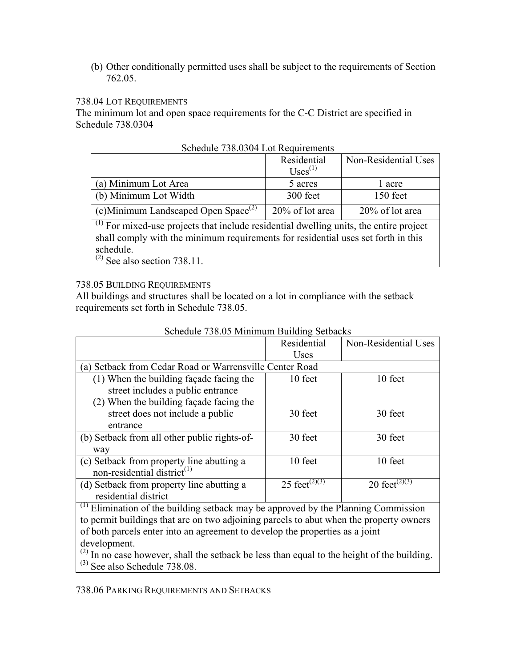(b) Other conditionally permitted uses shall be subject to the requirements of Section 762.05.

## 738.04 LOT REQUIREMENTS

The minimum lot and open space requirements for the C-C District are specified in Schedule 738.0304

|                                                 | Residential<br>$U$ ses <sup><math>(1)</math></sup> | Non-Residential Uses |
|-------------------------------------------------|----------------------------------------------------|----------------------|
| (a) Minimum Lot Area                            | 5 acres                                            | 1 acre               |
| (b) Minimum Lot Width                           | 300 feet                                           | 150 feet             |
| (c)Minimum Landscaped Open Space <sup>(2)</sup> | 20% of lot area                                    | 20% of lot area      |

(1) For mixed-use projects that include residential dwelling units, the entire project shall comply with the minimum requirements for residential uses set forth in this schedule.

 $(2)$  See also section 738.11.

#### 738.05 BUILDING REQUIREMENTS

All buildings and structures shall be located on a lot in compliance with the setback requirements set forth in Schedule 738.05.

|                                                         | Residential               | Non-Residential Uses                   |
|---------------------------------------------------------|---------------------------|----------------------------------------|
|                                                         | <b>Uses</b>               |                                        |
| (a) Setback from Cedar Road or Warrensville Center Road |                           |                                        |
| (1) When the building façade facing the                 | 10 feet                   | 10 feet                                |
| street includes a public entrance                       |                           |                                        |
| (2) When the building façade facing the                 |                           |                                        |
| street does not include a public                        | 30 feet                   | 30 feet                                |
| entrance                                                |                           |                                        |
| (b) Setback from all other public rights-of-            | 30 feet                   | 30 feet                                |
| way                                                     |                           |                                        |
| (c) Setback from property line abutting a               | 10 feet                   | 10 feet                                |
| non-residential district <sup><math>(1)</math></sup>    |                           |                                        |
| (d) Setback from property line abutting a               | 25 feet <sup>(2)(3)</sup> | 20 feet <sup><math>(2)(3)</math></sup> |
| residential district                                    |                           |                                        |

## Schedule 738.05 Minimum Building Setbacks

 $\overline{a}$ <sup>(1)</sup> Elimination of the building setback may be approved by the Planning Commission to permit buildings that are on two adjoining parcels to abut when the property owners of both parcels enter into an agreement to develop the properties as a joint development.

 $(2)$  In no case however, shall the setback be less than equal to the height of the building.  $^{(3)}$  See also Schedule 738.08.

738.06 PARKING REQUIREMENTS AND SETBACKS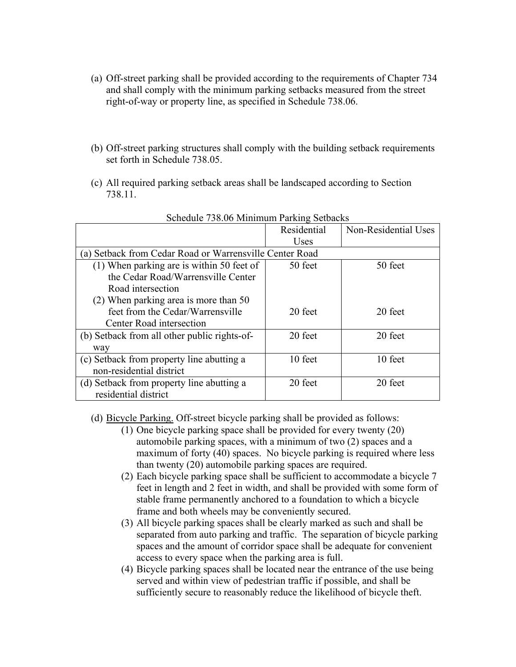- (a) Off-street parking shall be provided according to the requirements of Chapter 734 and shall comply with the minimum parking setbacks measured from the street right-of-way or property line, as specified in Schedule 738.06.
- (b) Off-street parking structures shall comply with the building setback requirements set forth in Schedule 738.05.
- (c) All required parking setback areas shall be landscaped according to Section 738.11.

|                                                        | Residential | Non-Residential Uses |
|--------------------------------------------------------|-------------|----------------------|
|                                                        | Uses        |                      |
| a) Setback from Cedar Road or Warrensville Center Road |             |                      |
| (1) When parking are is within 50 feet of              | 50 feet     | 50 feet              |
| the Cedar Road/Warrensville Center                     |             |                      |
| Road intersection                                      |             |                      |
| (2) When parking area is more than 50                  |             |                      |
| feet from the Cedar/Warrensville                       | 20 feet     | 20 feet              |
| Center Road intersection                               |             |                      |
| (b) Setback from all other public rights-of-           | 20 feet     | 20 feet              |
| way                                                    |             |                      |
| (c) Setback from property line abutting a              | 10 feet     | 10 feet              |
| non-residential district                               |             |                      |
| (d) Setback from property line abutting a              | 20 feet     | 20 feet              |
| residential district                                   |             |                      |

## Schedule 738.06 Minimum Parking Setbacks

(d) Bicycle Parking. Off-street bicycle parking shall be provided as follows:

- (1) One bicycle parking space shall be provided for every twenty (20) automobile parking spaces, with a minimum of two (2) spaces and a maximum of forty (40) spaces. No bicycle parking is required where less than twenty (20) automobile parking spaces are required.
- (2) Each bicycle parking space shall be sufficient to accommodate a bicycle 7 feet in length and 2 feet in width, and shall be provided with some form of stable frame permanently anchored to a foundation to which a bicycle frame and both wheels may be conveniently secured.
- (3) All bicycle parking spaces shall be clearly marked as such and shall be separated from auto parking and traffic. The separation of bicycle parking spaces and the amount of corridor space shall be adequate for convenient access to every space when the parking area is full.
- (4) Bicycle parking spaces shall be located near the entrance of the use being served and within view of pedestrian traffic if possible, and shall be sufficiently secure to reasonably reduce the likelihood of bicycle theft.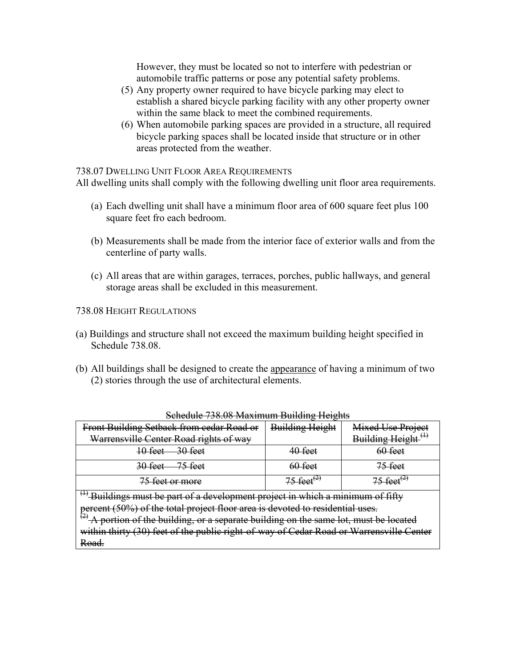However, they must be located so not to interfere with pedestrian or automobile traffic patterns or pose any potential safety problems.

- (5) Any property owner required to have bicycle parking may elect to establish a shared bicycle parking facility with any other property owner within the same black to meet the combined requirements.
- (6) When automobile parking spaces are provided in a structure, all required bicycle parking spaces shall be located inside that structure or in other areas protected from the weather.

738.07 DWELLING UNIT FLOOR AREA REQUIREMENTS

All dwelling units shall comply with the following dwelling unit floor area requirements.

- (a) Each dwelling unit shall have a minimum floor area of 600 square feet plus 100 square feet fro each bedroom.
- (b) Measurements shall be made from the interior face of exterior walls and from the centerline of party walls.
- (c) All areas that are within garages, terraces, porches, public hallways, and general storage areas shall be excluded in this measurement.

738.08 HEIGHT REGULATIONS

- (a) Buildings and structure shall not exceed the maximum building height specified in Schedule 738.08.
- (b) All buildings shall be designed to create the appearance of having a minimum of two (2) stories through the use of architectural elements.

| -73                                       |                        |                        |
|-------------------------------------------|------------------------|------------------------|
| Front Building Setback from cedar Road or | <b>Building Height</b> | Mixed Use Project      |
| Warrensville Center Road rights of way    |                        | <b>Building Height</b> |
| 10 feet<br><del>30 feet</del>             | 40 feet                | 60-feet                |
| 30 feet<br><del>75 feet</del>             | <del>60 feet</del>     | 75 feet                |
| <del>'5 feet or more</del>                |                        |                        |
| $\overline{\phantom{a}}$                  |                        |                        |

#### Schedule 738.08 Maximum Building Heights

 $\stackrel{\text{\tiny{(1)}}}{ }$  Buildings must be part of a development project in which a minimum of fifty percent (50%) of the total project floor area is devoted to residential uses.

 $\left(\frac{2}{2}\right)$  A portion of the building, or a separate building on the same lot, must be located within thirty (30) feet of the public right-of-way of Cedar Road or Warrensville Center Road.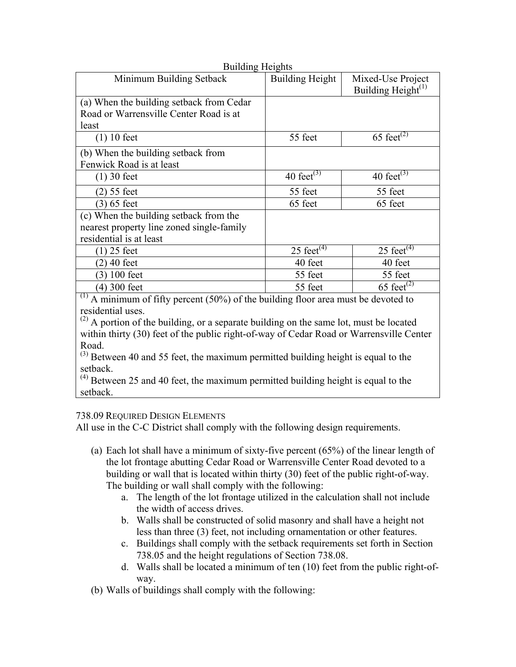| <b>Building Heights</b>                   |                        |                                |
|-------------------------------------------|------------------------|--------------------------------|
| Minimum Building Setback                  | <b>Building Height</b> | Mixed-Use Project              |
|                                           |                        | Building Height <sup>(1)</sup> |
| (a) When the building setback from Cedar  |                        |                                |
| Road or Warrensville Center Road is at    |                        |                                |
| least                                     |                        |                                |
| $(1)$ 10 feet                             | 55 feet                | 65 feet <sup>(2)</sup>         |
| (b) When the building setback from        |                        |                                |
| Fenwick Road is at least                  |                        |                                |
| $(1)$ 30 feet                             | 40 feet $(3)$          | 40 feet $(3)$                  |
| $(2)$ 55 feet                             | 55 feet                | 55 feet                        |
| $(3)$ 65 feet                             | 65 feet                | 65 feet                        |
| (c) When the building setback from the    |                        |                                |
| nearest property line zoned single-family |                        |                                |
| residential is at least                   |                        |                                |
| 25 feet                                   | 25 feet $(4)$          | 25 feet $(4)$                  |
| 40 feet                                   | 40 feet                | 40 feet                        |
| $100$ feet<br>3)                          | 55 feet                | 55 feet                        |
| 300 feet<br>$\left(4\right)$              | 55 feet                | 65 feet <sup>(2)</sup>         |

 $(1)$  A minimum of fifty percent (50%) of the building floor area must be devoted to residential uses.

 $(2)$  A portion of the building, or a separate building on the same lot, must be located within thirty (30) feet of the public right-of-way of Cedar Road or Warrensville Center Road.

 $(3)$  Between 40 and 55 feet, the maximum permitted building height is equal to the setback.

 $(4)$  Between 25 and 40 feet, the maximum permitted building height is equal to the setback.

# 738.09 REQUIRED DESIGN ELEMENTS

All use in the C-C District shall comply with the following design requirements.

- (a) Each lot shall have a minimum of sixty-five percent (65%) of the linear length of the lot frontage abutting Cedar Road or Warrensville Center Road devoted to a building or wall that is located within thirty (30) feet of the public right-of-way. The building or wall shall comply with the following:
	- a. The length of the lot frontage utilized in the calculation shall not include the width of access drives.
	- b. Walls shall be constructed of solid masonry and shall have a height not less than three (3) feet, not including ornamentation or other features.
	- c. Buildings shall comply with the setback requirements set forth in Section 738.05 and the height regulations of Section 738.08.
	- d. Walls shall be located a minimum of ten (10) feet from the public right-ofway.

(b) Walls of buildings shall comply with the following: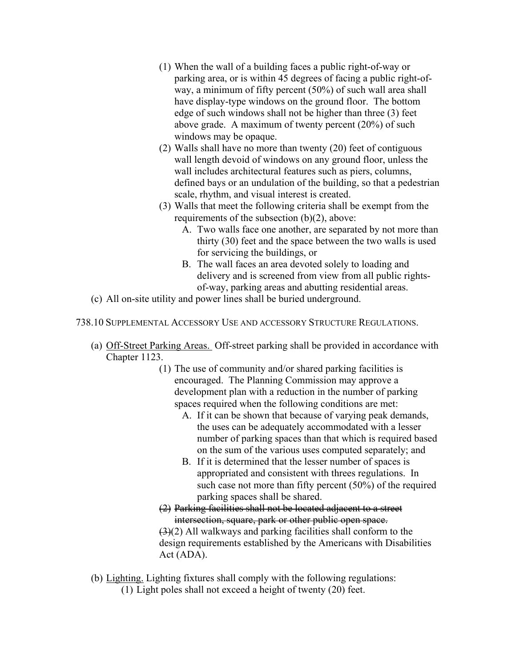- (1) When the wall of a building faces a public right-of-way or parking area, or is within 45 degrees of facing a public right-ofway, a minimum of fifty percent (50%) of such wall area shall have display-type windows on the ground floor. The bottom edge of such windows shall not be higher than three (3) feet above grade. A maximum of twenty percent (20%) of such windows may be opaque.
- (2) Walls shall have no more than twenty (20) feet of contiguous wall length devoid of windows on any ground floor, unless the wall includes architectural features such as piers, columns, defined bays or an undulation of the building, so that a pedestrian scale, rhythm, and visual interest is created.
- (3) Walls that meet the following criteria shall be exempt from the requirements of the subsection (b)(2), above:
	- A. Two walls face one another, are separated by not more than thirty (30) feet and the space between the two walls is used for servicing the buildings, or
	- B. The wall faces an area devoted solely to loading and delivery and is screened from view from all public rightsof-way, parking areas and abutting residential areas.
- (c) All on-site utility and power lines shall be buried underground.
- 738.10 SUPPLEMENTAL ACCESSORY USE AND ACCESSORY STRUCTURE REGULATIONS.
	- (a) Off-Street Parking Areas. Off-street parking shall be provided in accordance with Chapter 1123.
		- (1) The use of community and/or shared parking facilities is encouraged. The Planning Commission may approve a development plan with a reduction in the number of parking spaces required when the following conditions are met:
			- A. If it can be shown that because of varying peak demands, the uses can be adequately accommodated with a lesser number of parking spaces than that which is required based on the sum of the various uses computed separately; and
			- B. If it is determined that the lesser number of spaces is appropriated and consistent with threes regulations. In such case not more than fifty percent (50%) of the required parking spaces shall be shared.
		- (2) Parking facilities shall not be located adjacent to a street intersection, square, park or other public open space. (3)(2) All walkways and parking facilities shall conform to the design requirements established by the Americans with Disabilities Act (ADA).
	- (b) Lighting. Lighting fixtures shall comply with the following regulations:

(1) Light poles shall not exceed a height of twenty (20) feet.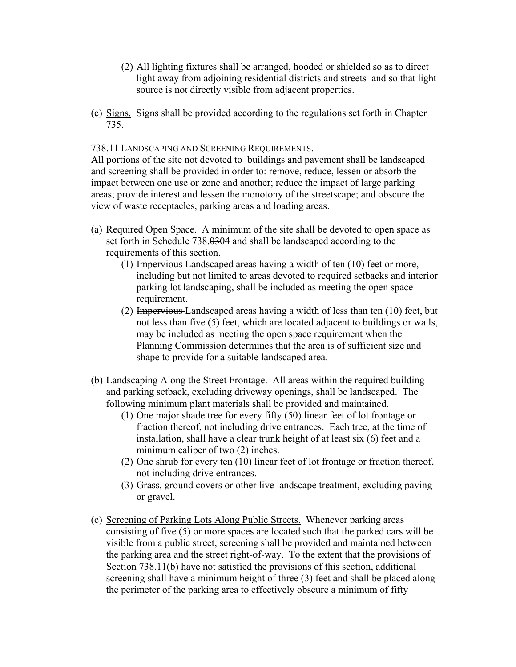- (2) All lighting fixtures shall be arranged, hooded or shielded so as to direct light away from adjoining residential districts and streets and so that light source is not directly visible from adjacent properties.
- (c) Signs. Signs shall be provided according to the regulations set forth in Chapter 735.

738.11 LANDSCAPING AND SCREENING REQUIREMENTS.

All portions of the site not devoted to buildings and pavement shall be landscaped and screening shall be provided in order to: remove, reduce, lessen or absorb the impact between one use or zone and another; reduce the impact of large parking areas; provide interest and lessen the monotony of the streetscape; and obscure the view of waste receptacles, parking areas and loading areas.

- (a) Required Open Space. A minimum of the site shall be devoted to open space as set forth in Schedule 738.0304 and shall be landscaped according to the requirements of this section.
	- (1) Impervious Landscaped areas having a width of ten (10) feet or more, including but not limited to areas devoted to required setbacks and interior parking lot landscaping, shall be included as meeting the open space requirement.
	- (2) Impervious Landscaped areas having a width of less than ten (10) feet, but not less than five (5) feet, which are located adjacent to buildings or walls, may be included as meeting the open space requirement when the Planning Commission determines that the area is of sufficient size and shape to provide for a suitable landscaped area.
- (b) Landscaping Along the Street Frontage. All areas within the required building and parking setback, excluding driveway openings, shall be landscaped. The following minimum plant materials shall be provided and maintained.
	- (1) One major shade tree for every fifty (50) linear feet of lot frontage or fraction thereof, not including drive entrances. Each tree, at the time of installation, shall have a clear trunk height of at least six (6) feet and a minimum caliper of two (2) inches.
	- (2) One shrub for every ten (10) linear feet of lot frontage or fraction thereof, not including drive entrances.
	- (3) Grass, ground covers or other live landscape treatment, excluding paving or gravel.
- (c) Screening of Parking Lots Along Public Streets. Whenever parking areas consisting of five (5) or more spaces are located such that the parked cars will be visible from a public street, screening shall be provided and maintained between the parking area and the street right-of-way. To the extent that the provisions of Section 738.11(b) have not satisfied the provisions of this section, additional screening shall have a minimum height of three (3) feet and shall be placed along the perimeter of the parking area to effectively obscure a minimum of fifty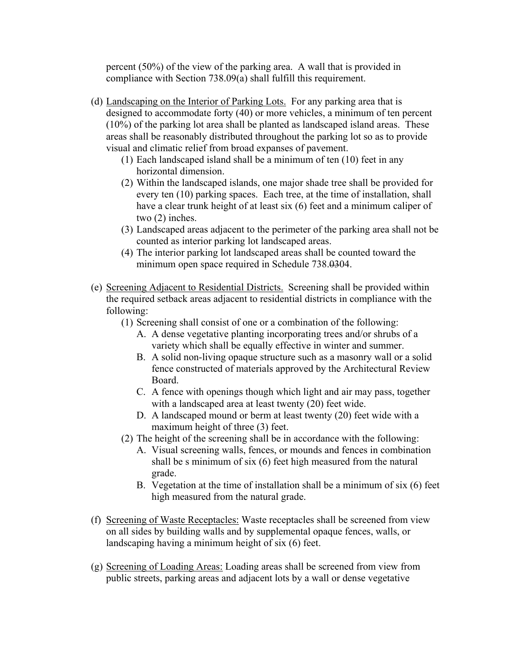percent (50%) of the view of the parking area. A wall that is provided in compliance with Section 738.09(a) shall fulfill this requirement.

- (d) Landscaping on the Interior of Parking Lots. For any parking area that is designed to accommodate forty (40) or more vehicles, a minimum of ten percent (10%) of the parking lot area shall be planted as landscaped island areas. These areas shall be reasonably distributed throughout the parking lot so as to provide visual and climatic relief from broad expanses of pavement.
	- (1) Each landscaped island shall be a minimum of ten (10) feet in any horizontal dimension.
	- (2) Within the landscaped islands, one major shade tree shall be provided for every ten (10) parking spaces. Each tree, at the time of installation, shall have a clear trunk height of at least six (6) feet and a minimum caliper of two (2) inches.
	- (3) Landscaped areas adjacent to the perimeter of the parking area shall not be counted as interior parking lot landscaped areas.
	- (4) The interior parking lot landscaped areas shall be counted toward the minimum open space required in Schedule 738.0304.
- (e) Screening Adjacent to Residential Districts. Screening shall be provided within the required setback areas adjacent to residential districts in compliance with the following:
	- (1) Screening shall consist of one or a combination of the following:
		- A. A dense vegetative planting incorporating trees and/or shrubs of a variety which shall be equally effective in winter and summer.
		- B. A solid non-living opaque structure such as a masonry wall or a solid fence constructed of materials approved by the Architectural Review Board.
		- C. A fence with openings though which light and air may pass, together with a landscaped area at least twenty (20) feet wide.
		- D. A landscaped mound or berm at least twenty (20) feet wide with a maximum height of three (3) feet.
	- (2) The height of the screening shall be in accordance with the following:
		- A. Visual screening walls, fences, or mounds and fences in combination shall be s minimum of six (6) feet high measured from the natural grade.
		- B. Vegetation at the time of installation shall be a minimum of six (6) feet high measured from the natural grade.
- (f) Screening of Waste Receptacles: Waste receptacles shall be screened from view on all sides by building walls and by supplemental opaque fences, walls, or landscaping having a minimum height of six (6) feet.
- (g) Screening of Loading Areas: Loading areas shall be screened from view from public streets, parking areas and adjacent lots by a wall or dense vegetative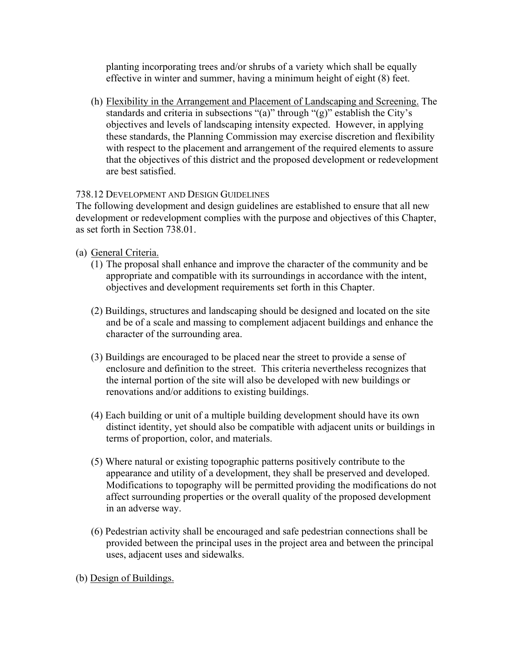planting incorporating trees and/or shrubs of a variety which shall be equally effective in winter and summer, having a minimum height of eight (8) feet.

(h) Flexibility in the Arrangement and Placement of Landscaping and Screening. The standards and criteria in subsections "(a)" through "(g)" establish the City's objectives and levels of landscaping intensity expected. However, in applying these standards, the Planning Commission may exercise discretion and flexibility with respect to the placement and arrangement of the required elements to assure that the objectives of this district and the proposed development or redevelopment are best satisfied.

## 738.12 DEVELOPMENT AND DESIGN GUIDELINES

The following development and design guidelines are established to ensure that all new development or redevelopment complies with the purpose and objectives of this Chapter, as set forth in Section 738.01.

- (a) General Criteria.
	- (1) The proposal shall enhance and improve the character of the community and be appropriate and compatible with its surroundings in accordance with the intent, objectives and development requirements set forth in this Chapter.
	- (2) Buildings, structures and landscaping should be designed and located on the site and be of a scale and massing to complement adjacent buildings and enhance the character of the surrounding area.
	- (3) Buildings are encouraged to be placed near the street to provide a sense of enclosure and definition to the street. This criteria nevertheless recognizes that the internal portion of the site will also be developed with new buildings or renovations and/or additions to existing buildings.
	- (4) Each building or unit of a multiple building development should have its own distinct identity, yet should also be compatible with adjacent units or buildings in terms of proportion, color, and materials.
	- (5) Where natural or existing topographic patterns positively contribute to the appearance and utility of a development, they shall be preserved and developed. Modifications to topography will be permitted providing the modifications do not affect surrounding properties or the overall quality of the proposed development in an adverse way.
	- (6) Pedestrian activity shall be encouraged and safe pedestrian connections shall be provided between the principal uses in the project area and between the principal uses, adjacent uses and sidewalks.

(b) Design of Buildings.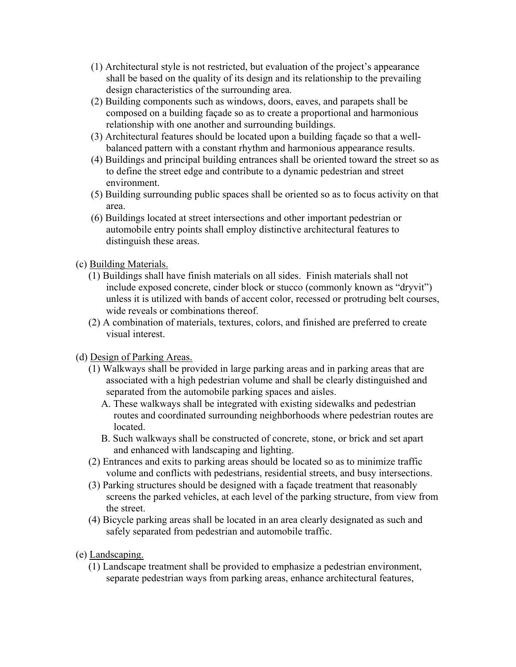- (1) Architectural style is not restricted, but evaluation of the project's appearance shall be based on the quality of its design and its relationship to the prevailing design characteristics of the surrounding area.
- (2) Building components such as windows, doors, eaves, and parapets shall be composed on a building façade so as to create a proportional and harmonious relationship with one another and surrounding buildings.
- (3) Architectural features should be located upon a building façade so that a wellbalanced pattern with a constant rhythm and harmonious appearance results.
- (4) Buildings and principal building entrances shall be oriented toward the street so as to define the street edge and contribute to a dynamic pedestrian and street environment.
- (5) Building surrounding public spaces shall be oriented so as to focus activity on that area.
- (6) Buildings located at street intersections and other important pedestrian or automobile entry points shall employ distinctive architectural features to distinguish these areas.
- (c) Building Materials.
	- (1) Buildings shall have finish materials on all sides. Finish materials shall not include exposed concrete, cinder block or stucco (commonly known as "dryvit") unless it is utilized with bands of accent color, recessed or protruding belt courses, wide reveals or combinations thereof.
	- (2) A combination of materials, textures, colors, and finished are preferred to create visual interest.
- (d) Design of Parking Areas.
	- (1) Walkways shall be provided in large parking areas and in parking areas that are associated with a high pedestrian volume and shall be clearly distinguished and separated from the automobile parking spaces and aisles.
		- A. These walkways shall be integrated with existing sidewalks and pedestrian routes and coordinated surrounding neighborhoods where pedestrian routes are located.
		- B. Such walkways shall be constructed of concrete, stone, or brick and set apart and enhanced with landscaping and lighting.
	- (2) Entrances and exits to parking areas should be located so as to minimize traffic volume and conflicts with pedestrians, residential streets, and busy intersections.
	- (3) Parking structures should be designed with a façade treatment that reasonably screens the parked vehicles, at each level of the parking structure, from view from the street.
	- (4) Bicycle parking areas shall be located in an area clearly designated as such and safely separated from pedestrian and automobile traffic.
- (e) Landscaping.
	- (1) Landscape treatment shall be provided to emphasize a pedestrian environment, separate pedestrian ways from parking areas, enhance architectural features,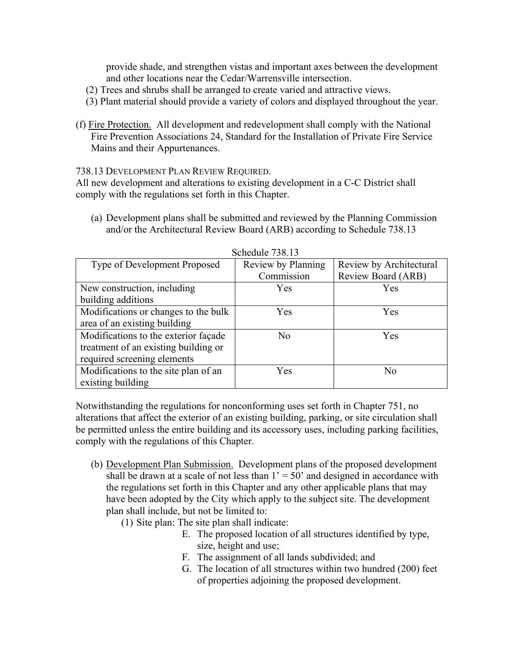provide shade, and strengthen vistas and important axes between the development and other locations near the Cedar/Warrensville intersection.

- (2) Trees and shrubs shall be arranged to create varied and attractive views.
- (3) Plant material should provide a variety of colors and displayed throughout the year.
- (f) Fire Protection. All development and redevelopment shall comply with the National Fire Prevention Associations 24, Standard for the Installation of Private Fire Service Mains and their Appurtenances.

738.13 DEVELOPMENT PLAN REVIEW REQUIRED.

All new development and alterations to existing development in a C-C District shall comply with the regulations set forth in this Chapter.

(a) Development plans shall be submitted and reviewed by the Planning Commission and/or the Architectural Review Board (ARB) according to Schedule 738.13

| $50.10$ and $1.50.15$                |                    |                         |
|--------------------------------------|--------------------|-------------------------|
| Type of Development Proposed         | Review by Planning | Review by Architectural |
|                                      | Commission         | Review Board (ARB)      |
| New construction, including          | Yes                | Yes                     |
| building additions                   |                    |                         |
| Modifications or changes to the bulk | Yes                | Yes                     |
| area of an existing building         |                    |                         |
| Modifications to the exterior façade | N <sub>0</sub>     | Yes                     |
| treatment of an existing building or |                    |                         |
| required screening elements          |                    |                         |
| Modifications to the site plan of an | Yes                | N <sub>0</sub>          |
| existing building                    |                    |                         |

Schedule 738.13

Notwithstanding the regulations for nonconforming uses set forth in Chapter 751, no alterations that affect the exterior of an existing building, parking, or site circulation shall be permitted unless the entire building and its accessory uses, including parking facilities, comply with the regulations of this Chapter.

- (b) Development Plan Submission. Development plans of the proposed development shall be drawn at a scale of not less than  $1' = 50'$  and designed in accordance with the regulations set forth in this Chapter and any other applicable plans that may have been adopted by the City which apply to the subject site. The development plan shall include, but not be limited to:
	- (1) Site plan: The site plan shall indicate:
		- E. The proposed location of all structures identified by type, size, height and use;
		- F. The assignment of all lands subdivided; and
		- G. The location of all structures within two hundred (200) feet of properties adjoining the proposed development.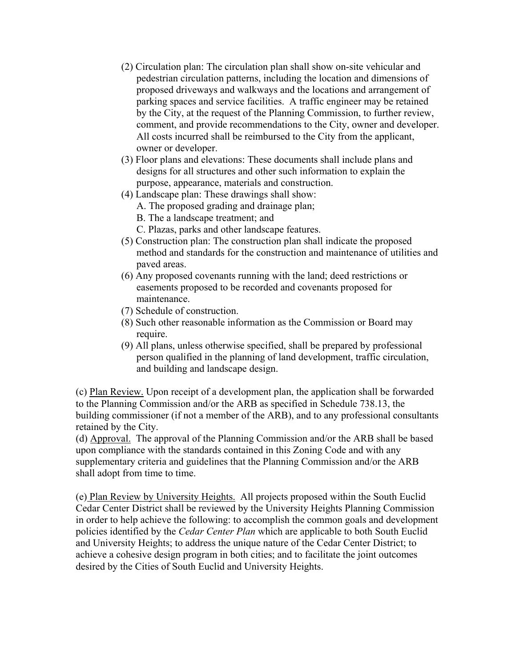- (2) Circulation plan: The circulation plan shall show on-site vehicular and pedestrian circulation patterns, including the location and dimensions of proposed driveways and walkways and the locations and arrangement of parking spaces and service facilities. A traffic engineer may be retained by the City, at the request of the Planning Commission, to further review, comment, and provide recommendations to the City, owner and developer. All costs incurred shall be reimbursed to the City from the applicant, owner or developer.
- (3) Floor plans and elevations: These documents shall include plans and designs for all structures and other such information to explain the purpose, appearance, materials and construction.
- (4) Landscape plan: These drawings shall show:
	- A. The proposed grading and drainage plan;
	- B. The a landscape treatment; and
	- C. Plazas, parks and other landscape features.
- (5) Construction plan: The construction plan shall indicate the proposed method and standards for the construction and maintenance of utilities and paved areas.
- (6) Any proposed covenants running with the land; deed restrictions or easements proposed to be recorded and covenants proposed for maintenance.
- (7) Schedule of construction.
- (8) Such other reasonable information as the Commission or Board may require.
- (9) All plans, unless otherwise specified, shall be prepared by professional person qualified in the planning of land development, traffic circulation, and building and landscape design.

(c) Plan Review. Upon receipt of a development plan, the application shall be forwarded to the Planning Commission and/or the ARB as specified in Schedule 738.13, the building commissioner (if not a member of the ARB), and to any professional consultants retained by the City.

(d) Approval. The approval of the Planning Commission and/or the ARB shall be based upon compliance with the standards contained in this Zoning Code and with any supplementary criteria and guidelines that the Planning Commission and/or the ARB shall adopt from time to time.

(e) Plan Review by University Heights. All projects proposed within the South Euclid Cedar Center District shall be reviewed by the University Heights Planning Commission in order to help achieve the following: to accomplish the common goals and development policies identified by the *Cedar Center Plan* which are applicable to both South Euclid and University Heights; to address the unique nature of the Cedar Center District; to achieve a cohesive design program in both cities; and to facilitate the joint outcomes desired by the Cities of South Euclid and University Heights.